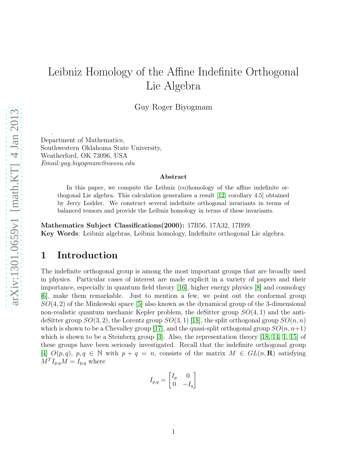# Leibniz Homology of the Affine Indefinite Orthogonal Lie Algebra

Guy Roger Biyogmam

Department of Mathematics, Southwestern Oklahoma State University, Weatherford, OK 73096, USA Email:guy.biyogmam@swosu.edu

#### Abstract

In this paper, we compute the Leibniz (co)homology of the affine indefinite orthogonal Lie algebra. This calculation generalizes a result [\[12,](#page-11-0) corollary 4.5] obtained by Jerry Lodder. We construct several indefinite orthogonal invariants in terms of balanced tensors and provide the Leibniz homology in terms of these invariants.

Mathematics Subject Classifications(2000): 17B56, 17A32, 17B99. Key Words: Leibniz algebras, Leibniz homology, Indefinite orthogonal Lie algebra.

## 1 Introduction

The indefinite orthogonal group is among the most important groups that are broadly used in physics. Particular cases of interest are made explicit in a variety of papers and their importance, especially in quantum field theory [\[16\]](#page-11-1), higher energy physics [\[8\]](#page-11-2) and cosmology [\[6\]](#page-11-3), make them remarkable. Just to mention a few, we point out the conformal group  $SO(4, 2)$  of the Minkowski space [\[5\]](#page-11-4) also known as the dynamical group of the 3-dimensional non-realistic quantum mechanic Kepler problem, the deSitter group  $SO(4, 1)$  and the antideSitter group  $SO(3, 2)$ , the Lorentz group  $SO(3, 1)$  [\[18\]](#page-11-5), the split orthogonal group  $SO(n, n)$ which is shown to be a Chevalley group [\[17\]](#page-11-6), and the quasi-split orthogonal group  $SO(n, n+1)$ which is shown to be a Steinberg group  $[3]$ . Also, the representation theory  $[18, 14, 1, 15]$  $[18, 14, 1, 15]$  $[18, 14, 1, 15]$  $[18, 14, 1, 15]$  of these groups have been seriously investigated. Recall that the indefinite orthogonal group [\[4\]](#page-11-10)  $O(p,q)$ ,  $p,q \in \mathbb{N}$  with  $p+q=n$ , consists of the matrix  $M \in GL(n,\mathbf{R})$  satisfying  $M^{T}I_{p,q}M=I_{p,q}$  where

$$
I_{p,q} = \begin{bmatrix} I_p & 0 \\ 0 & -I_q \end{bmatrix}
$$

.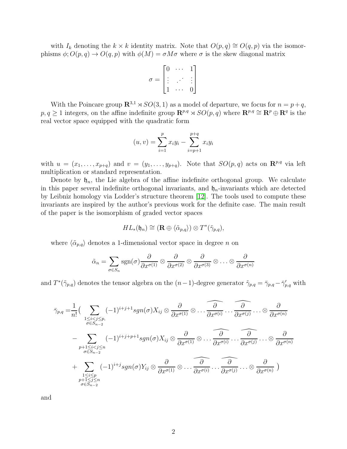with  $I_k$  denoting the  $k \times k$  identity matrix. Note that  $O(p, q) \cong O(q, p)$  via the isomorphisms  $\phi$ ;  $O(p,q) \to O(q,p)$  with  $\phi(M) = \sigma M \sigma$  where  $\sigma$  is the skew diagonal matrix

$$
\sigma = \begin{bmatrix} 0 & \cdots & 1 \\ \vdots & \ddots & \vdots \\ 1 & \cdots & 0 \end{bmatrix}
$$

With the Poincare group  $\mathbb{R}^{3,1} \rtimes SO(3,1)$  as a model of departure, we focus for  $n = p+q$ ,  $p, q \geq 1$  integers, on the affine indefinite group  $\mathbb{R}^{p,q} \rtimes SO(p,q)$  where  $\mathbb{R}^{p,q} \cong \mathbb{R}^p \oplus \mathbb{R}^q$  is the real vector space equipped with the quadratic form

$$
(u, v) = \sum_{i=1}^{p} x_i y_i - \sum_{i=p+1}^{p+q} x_i y_i
$$

with  $u = (x_1, \ldots, x_{p+q})$  and  $v = (y_1, \ldots, y_{p+q})$ . Note that  $SO(p,q)$  acts on  $\mathbb{R}^{p,q}$  via left multiplication or standard representation.

Denote by  $\mathfrak{h}_n$ , the Lie algebra of the affine indefinite orthogonal group. We calculate in this paper several indefinite orthogonal invariants, and  $\mathfrak{h}_n$ -invariants which are detected by Leibniz homology via Lodder's structure theorem [\[12\]](#page-11-0). The tools used to compute these invariants are inspired by the author's previous work for the definite case. The main result of the paper is the isomorphism of graded vector spaces

$$
HL_*(\mathfrak{h}_n)\cong (\mathbf{R}\oplus \langle \tilde{\alpha}_{p,q}\rangle)\otimes T^*(\tilde{\gamma}_{p,q}),
$$

where  $\langle \tilde{\alpha}_{p,q} \rangle$  denotes a 1-dimensional vector space in degree n on

$$
\tilde{\alpha}_n = \sum_{\sigma \in S_n} \text{sgn}(\sigma) \frac{\partial}{\partial x^{\sigma(1)}} \otimes \frac{\partial}{\partial x^{\sigma(2)}} \otimes \frac{\partial}{\partial x^{\sigma(3)}} \otimes \ldots \otimes \frac{\partial}{\partial x^{\sigma(n)}}
$$

and  $T^*(\tilde{\gamma}_{p,q})$  denotes the tensor algebra on the  $(n-1)$ -degree generator  $\tilde{\gamma}_{p,q} = \bar{\gamma}_{p,q} - \bar{\gamma}'_{p,q}$  with

$$
\bar{\gamma}_{p,q} = \frac{1}{n!} \Big( \sum_{\substack{1 \leq i < j \leq p, \\ \sigma \in S_{n-2}}} (-1)^{i+j+1} sgn(\sigma) X_{ij} \otimes \frac{\partial}{\partial x^{\sigma(1)}} \otimes \dots \widehat{\frac{\partial}{\partial x^{\sigma(i)}}} \dots \widehat{\frac{\partial}{\partial x^{\sigma(j)}}} \dots \otimes \frac{\partial}{\partial x^{\sigma(n)}} \Big) \n- \sum_{\substack{p+1 \leq i < j \leq n \\ \sigma \in S_{n-2}}} (-1)^{i+j+p+1} sgn(\sigma) X_{ij} \otimes \frac{\partial}{\partial x^{\sigma(1)}} \otimes \dots \widehat{\frac{\partial}{\partial x^{\sigma(i)}}} \dots \widehat{\frac{\partial}{\partial x^{\sigma(j)}}} \dots \otimes \frac{\partial}{\partial x^{\sigma(n)}} \Big) \n+ \sum_{\substack{1 \leq i \leq p \\ p+1 \leq j \leq n \\ \sigma \in S_{n-2}}} (-1)^{i+j} sgn(\sigma) Y_{ij} \otimes \frac{\partial}{\partial x^{\sigma(1)}} \otimes \dots \widehat{\frac{\partial}{\partial x^{\sigma(i)}}} \dots \widehat{\frac{\partial}{\partial x^{\sigma(j)}}} \dots \otimes \frac{\partial}{\partial x^{\sigma(n)}} \Big)
$$

and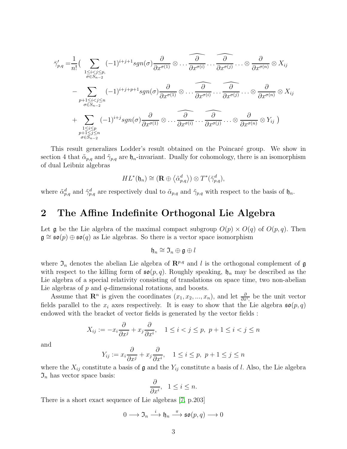$$
\bar{\gamma}'_{p,q} = \frac{1}{n!} \Big( \sum_{\substack{1 \le i < j \le p, \\ \sigma \in S_{n-2}}} (-1)^{i+j+1} sgn(\sigma) \frac{\partial}{\partial x^{\sigma(1)}} \otimes \dots \widehat{\frac{\partial}{\partial x^{\sigma(i)}}} \dots \widehat{\frac{\partial}{\partial x^{\sigma(j)}}} \dots \otimes \frac{\partial}{\partial x^{\sigma(n)}} \otimes X_{ij}
$$
\n
$$
- \sum_{\substack{p+1 \le i < j \le n \\ \sigma \in S_{n-2}}} (-1)^{i+j+p+1} sgn(\sigma) \frac{\partial}{\partial x^{\sigma(1)}} \otimes \dots \widehat{\frac{\partial}{\partial x^{\sigma(i)}}} \dots \widehat{\frac{\partial}{\partial x^{\sigma(j)}}} \dots \otimes \frac{\partial}{\partial x^{\sigma(n)}} \otimes X_{ij}
$$
\n
$$
+ \sum_{\substack{1 \le i \le p \\ p+1 \le j \le n \\ \sigma \in S_{n-2}}} (-1)^{i+j} sgn(\sigma) \frac{\partial}{\partial x^{\sigma(1)}} \otimes \dots \widehat{\frac{\partial}{\partial x^{\sigma(i)}}} \dots \otimes \frac{\partial}{\partial x^{\sigma(n)}} \otimes Y_{ij} \Big)
$$

This result generalizes Lodder's result obtained on the Poincaré group. We show in section 4 that  $\tilde{\alpha}_{p,q}$  and  $\tilde{\gamma}_{p,q}$  are  $\mathfrak{h}_n$ -invariant. Dually for cohomology, there is an isomorphism of dual Leibniz algebras

$$
HL^*(\mathfrak{h}_n)\cong (\mathbf{R}\oplus \left\langle \tilde{\alpha}_{p,q}^d\right\rangle)\otimes T^*(\tilde{\gamma}_{p,q}^d),
$$

where  $\tilde{\alpha}^d_{p,q}$  and  $\tilde{\gamma}^d_{p,q}$  are respectively dual to  $\tilde{\alpha}_{p,q}$  and  $\tilde{\gamma}_{p,q}$  with respect to the basis of  $\mathfrak{h}_n$ .

## 2 The Affine Indefinite Orthogonal Lie Algebra

Let **g** be the Lie algebra of the maximal compact subgroup  $O(p) \times O(q)$  of  $O(p, q)$ . Then  $\mathfrak{g} \cong \mathfrak{so}(p) \oplus \mathfrak{so}(q)$  as Lie algebras. So there is a vector space isomorphism

$$
\mathfrak{h}_n\cong \mathfrak{I}_n\oplus \mathfrak{g}\oplus l
$$

where  $\mathfrak{I}_n$  denotes the abelian Lie algebra of  $\mathbb{R}^{p,q}$  and l is the orthogonal complement of g with respect to the killing form of  $\mathfrak{so}(p,q)$ . Roughly speaking,  $\mathfrak{h}_n$  may be described as the Lie algebra of a special relativity consisting of translations on space time, two non-abelian Lie algebras of p and q-dimensional rotations, and boosts.

Assume that  $\mathbf{R}^n$  is given the coordinates  $(x_1, x_2, ..., x_n)$ , and let  $\frac{\partial}{\partial x^i}$  be the unit vector fields parallel to the  $x_i$  axes respectively. It is easy to show that the Lie algebra  $\mathfrak{so}(p,q)$ endowed with the bracket of vector fields is generated by the vector fields :

$$
X_{ij} := -x_i \frac{\partial}{\partial x^j} + x_j \frac{\partial}{\partial x^i}, \quad 1 \le i < j \le p, \ p+1 \le i < j \le n
$$

and

$$
Y_{ij} := x_i \frac{\partial}{\partial x^j} + x_j \frac{\partial}{\partial x^i}, \quad 1 \le i \le p, \ p+1 \le j \le n
$$

where the  $X_{ij}$  constitute a basis of  $\mathfrak g$  and the  $Y_{ij}$  constitute a basis of l. Also, the Lie algebra  $\mathfrak{I}_n$  has vector space basis:

$$
\frac{\partial}{\partial x^i}, \quad 1 \le i \le n.
$$

There is a short exact sequence of Lie algebras [\[7,](#page-11-11) p.203]

$$
0 \longrightarrow \mathfrak{I}_n \stackrel{i}{\longrightarrow} \mathfrak{h}_n \stackrel{\pi}{\longrightarrow} \mathfrak{so}(p,q) \longrightarrow 0
$$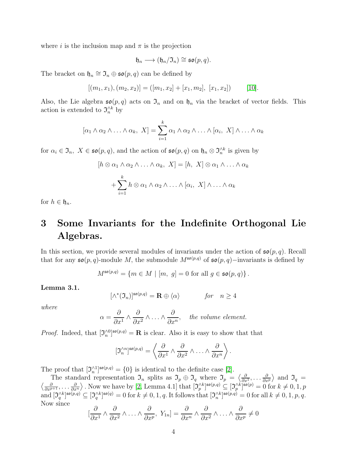where i is the inclusion map and  $\pi$  is the projection

$$
\mathfrak{h}_n \longrightarrow (\mathfrak{h}_n/\mathfrak{I}_n) \cong \mathfrak{so}(p,q).
$$

The bracket on  $\mathfrak{h}_n \cong \mathfrak{I}_n \oplus \mathfrak{so}(p,q)$  can be defined by

$$
[(m_1, x_1), (m_2, x_2)] = ([m_1, x_2] + [x_1, m_2], [x_1, x_2])
$$
 [10].

Also, the Lie algebra  $\mathfrak{so}(p,q)$  acts on  $\mathfrak{I}_n$  and on  $\mathfrak{h}_n$  via the bracket of vector fields. This action is extended to  $\mathfrak{I}_n^{\wedge k}$  by

$$
[\alpha_1 \wedge \alpha_2 \wedge \ldots \wedge \alpha_k, X] = \sum_{i=1}^k \alpha_1 \wedge \alpha_2 \wedge \ldots \wedge [\alpha_i, X] \wedge \ldots \wedge \alpha_k
$$

for  $\alpha_i \in \mathfrak{I}_n$ ,  $X \in \mathfrak{so}(p,q)$ , and the action of  $\mathfrak{so}(p,q)$  on  $\mathfrak{h}_n \otimes \mathfrak{I}_n^{\wedge k}$  is given by

$$
[h \otimes \alpha_1 \wedge \alpha_2 \wedge \ldots \wedge \alpha_k, X] = [h, X] \otimes \alpha_1 \wedge \ldots \wedge \alpha_k
$$

$$
+ \sum_{i=1}^k h \otimes \alpha_1 \wedge \alpha_2 \wedge \ldots \wedge [\alpha_i, X] \wedge \ldots \wedge \alpha_k
$$

for  $h \in \mathfrak{h}_n$ .

## 3 Some Invariants for the Indefinite Orthogonal Lie Algebras.

In this section, we provide several modules of invariants under the action of  $\mathfrak{so}(p,q)$ . Recall that for any  $\mathfrak{so}(p,q)$ -module M, the submodule  $M^{\mathfrak{so}(p,q)}$  of  $\mathfrak{so}(p,q)$ −invariants is defined by

$$
M^{\mathfrak{so}(p,q)} = \{ m \in M \mid [m, g] = 0 \text{ for all } g \in \mathfrak{so}(p,q) \}.
$$

<span id="page-3-0"></span>Lemma 3.1.

$$
[\wedge^*(\mathfrak{I}_n)]^{\mathfrak{so}(p,q)} = \mathbf{R} \oplus \langle \alpha \rangle \qquad \text{for} \quad n \ge 4
$$

where

$$
\alpha = \frac{\partial}{\partial x^1} \wedge \frac{\partial}{\partial x^2} \wedge \ldots \wedge \frac{\partial}{\partial x^n}, \quad the \ volume \ element.
$$

*Proof.* Indeed, that  $[\mathfrak{I}_n^{\wedge 0}]^{s_0(p,q)} = \mathbf{R}$  is clear. Also it is easy to show that that

$$
[\mathfrak{I}_n^{\wedge n}]^{\mathfrak{so}(p,q)} = \left\langle \frac{\partial}{\partial x^1} \wedge \frac{\partial}{\partial x^2} \wedge \ldots \wedge \frac{\partial}{\partial x^n} \right\rangle.
$$

The proof that  $[\mathfrak{I}_n^{\wedge 1}]^{s\mathfrak{o}(p,q)} = \{0\}$  is identical to the definite case [\[2\]](#page-10-1).

The standard representation  $\mathfrak{I}_n$  splits as  $\mathfrak{I}_p \oplus \mathfrak{I}_q$  where  $\mathfrak{I}_p = \left\langle \frac{\partial}{\partial x^1}, \ldots \frac{\partial}{\partial x^q} \right\rangle$ The standard representation  $\mathfrak{I}_n$  splits as  $\mathfrak{I}_p \oplus \mathfrak{I}_q$  where  $\mathfrak{I}_p = \left\langle \frac{\partial}{\partial x^1}, \ldots, \frac{\partial}{\partial x^p} \right\rangle$  and  $\mathfrak{I}_q = \left\langle \frac{\partial}{\partial x^1}, \ldots, \frac{\partial}{\partial x^p} \right\rangle$ . Now we have by [2, Lemma 4.1] that  $[\mathfrak{I}^{\wedge$  $\frac{\partial}{\partial x^{p+1}}, \ldots \frac{\partial}{\partial x}$  $\frac{\partial}{\partial x^n}$ . Now we have by [\[2,](#page-10-1) Lemma 4.1] that  $[\mathfrak{I}_p^{\wedge k}]^{\mathfrak{so}(p,q)} \subseteq [\mathfrak{I}_p^{\wedge k}]^{\mathfrak{so}(p)} = 0$  for  $k \neq 0, 1, p$ and  $[\mathfrak{I}_q^{\wedge k}]^{\mathfrak{so}(p,q)} \subseteq [\mathfrak{I}_q^{\wedge k}]^{\mathfrak{so}(q)} = 0$  for  $k \neq 0, 1, q$ . It follows that  $[\mathfrak{I}_n^{\wedge k}]^{\mathfrak{so}(p,q)} = 0$  for all  $k \neq 0, 1, p, q$ . Now since

$$
[\frac{\partial}{\partial x^1} \wedge \frac{\partial}{\partial x^2} \wedge \ldots \wedge \frac{\partial}{\partial x^p}, Y_{1n}] = \frac{\partial}{\partial x^n} \wedge \frac{\partial}{\partial x^2} \wedge \ldots \wedge \frac{\partial}{\partial x^p} \neq 0
$$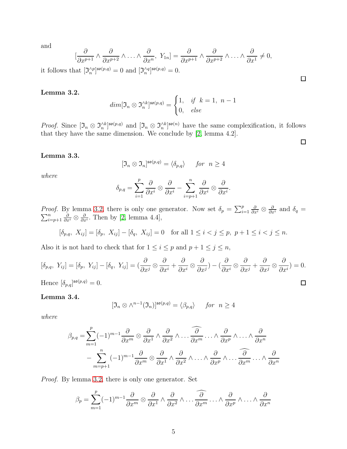and

$$
[\frac{\partial}{\partial x^{p+1}} \wedge \frac{\partial}{\partial x^{p+2}} \wedge \ldots \wedge \frac{\partial}{\partial x^n}, Y_{1n}] = \frac{\partial}{\partial x^{p+1}} \wedge \frac{\partial}{\partial x^{p+2}} \wedge \ldots \wedge \frac{\partial}{\partial x^1} \neq 0,
$$

it follows that  $[\mathfrak{I}_n^{\wedge p}]^{\mathfrak{so}(p,q)} = 0$  and  $[\mathfrak{I}_n^{\wedge q}]^{\mathfrak{so}(p,q)} = 0$ .

#### <span id="page-4-0"></span>Lemma 3.2.

$$
dim[\mathfrak{I}_n \otimes \mathfrak{I}_n^{\wedge k}]^{\mathfrak{so}(p,q)} = \begin{cases} 1, & \text{if } k = 1, n - 1 \\ 0, & \text{else} \end{cases}
$$

*Proof.* Since  $[\mathfrak{I}_n \otimes \mathfrak{I}_n^{\wedge k}]^{\mathfrak{so}(p,q)}$  and  $[\mathfrak{I}_n \otimes \mathfrak{I}_n^{\wedge k}]^{\mathfrak{so}(n)}$  have the same complexification, it follows that they have the same dimension. We conclude by [\[2,](#page-10-1) lemma 4.2].

#### <span id="page-4-1"></span>Lemma 3.3.

$$
[\mathfrak{I}_n \otimes \mathfrak{I}_n]^{ \mathfrak{so}(p,q)} = \langle \delta_{p,q} \rangle \quad \text{for} \ \ n \ge 4
$$

where

$$
\delta_{p,q} = \sum_{i=1}^p \frac{\partial}{\partial x^i} \otimes \frac{\partial}{\partial x^i} - \sum_{i=p+1}^n \frac{\partial}{\partial x^i} \otimes \frac{\partial}{\partial x^i}.
$$

*Proof.* By lemma [3.2,](#page-4-0) there is only one generator. Now set  $\delta_p = \sum_{i=1}^p p_i$  $\frac{\partial}{\partial x^i}\otimes \frac{\partial}{\partial x}$  $\sum$ *oof.* By lemma 3.2, there is only one generator. Now set  $\delta_p = \sum_{i=1}^p \frac{\partial}{\partial x^i} \otimes \frac{\partial}{\partial x^i}$  and  $\delta_q =$  $i=p+1$  $\frac{\partial}{\partial x^i}\otimes \frac{\partial}{\partial x}$  $\frac{\partial}{\partial x^i}$ . Then by [\[2,](#page-10-1) lemma 4.4],

$$
[\delta_{p,q}, X_{ij}] = [\delta_p, X_{ij}] - [\delta_q, X_{ij}] = 0
$$
 for all  $1 \le i < j \le p$ ,  $p + 1 \le i < j \le n$ .

Also it is not hard to check that for  $1 \leq i \leq p$  and  $p + 1 \leq j \leq n$ ,

$$
[\delta_{p,q}, Y_{ij}] = [\delta_p, Y_{ij}] - [\delta_q, Y_{ij}] = (\frac{\partial}{\partial x^j} \otimes \frac{\partial}{\partial x^i} + \frac{\partial}{\partial x^i} \otimes \frac{\partial}{\partial x^j}) - (\frac{\partial}{\partial x^i} \otimes \frac{\partial}{\partial x^j} + \frac{\partial}{\partial x^j} \otimes \frac{\partial}{\partial x^i}) = 0.
$$
  
Hence  $[\delta_{p,q}]^{50(p,q)} = 0$ .

#### <span id="page-4-2"></span>Lemma 3.4.

$$
[\mathfrak{I}_n \otimes \wedge^{n-1}(\mathfrak{I}_n)]^{\mathfrak{so}(p,q)} = \langle \beta_{p,q} \rangle \quad \text{for} \ \ n \ge 4
$$

where

$$
\beta_{p,q} = \sum_{m=1}^{p} (-1)^{m-1} \frac{\partial}{\partial x^m} \otimes \frac{\partial}{\partial x^1} \wedge \frac{\partial}{\partial x^2} \wedge \dots \widehat{\frac{\partial}{\partial x^m}} \dots \wedge \frac{\partial}{\partial x^p} \wedge \dots \wedge \frac{\partial}{\partial x^n}
$$

$$
- \sum_{m=p+1}^{n} (-1)^{m-1} \frac{\partial}{\partial x^m} \otimes \frac{\partial}{\partial x^1} \wedge \frac{\partial}{\partial x^2} \wedge \dots \wedge \frac{\partial}{\partial x^p} \wedge \dots \widehat{\frac{\partial}{\partial x^m}} \dots \wedge \frac{\partial}{\partial x^n}
$$

Proof. By lemma [3.2,](#page-4-0) there is only one generator. Set

$$
\beta_p = \sum_{m=1}^p (-1)^{m-1} \frac{\partial}{\partial x^m} \otimes \frac{\partial}{\partial x^1} \wedge \frac{\partial}{\partial x^2} \wedge \dots \widehat{\frac{\partial}{\partial x^m}} \dots \wedge \frac{\partial}{\partial x^p} \wedge \dots \wedge \frac{\partial}{\partial x^n}
$$

 $\Box$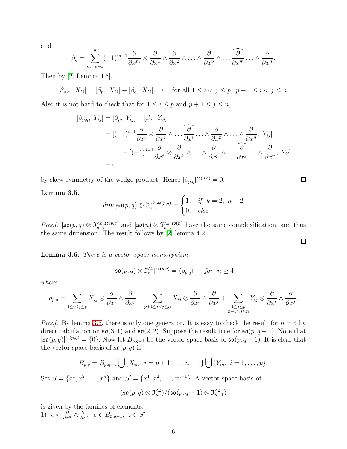and

$$
\beta_q = \sum_{m=p+1}^n (-1)^{m-1} \frac{\partial}{\partial x^m} \otimes \frac{\partial}{\partial x^1} \wedge \frac{\partial}{\partial x^2} \wedge \ldots \wedge \frac{\partial}{\partial x^p} \wedge \ldots \widehat{\frac{\partial}{\partial x^m}} \ldots \wedge \frac{\partial}{\partial x^n}.
$$

Then by  $[2, \text{Lemma } 4.5],$ 

$$
[\beta_{p,q}, X_{ij}] = [\beta_p, X_{ij}] - [\beta_q, X_{ij}] = 0 \text{ for all } 1 \le i < j \le p, p+1 \le i < j \le n.
$$

Also it is not hard to check that for  $1 \leq i \leq p$  and  $p + 1 \leq j \leq n$ ,

$$
[\beta_{p,q}, Y_{ij}] = [\beta_p, Y_{ij}] - [\beta_q, Y_{ij}]
$$
  
\n
$$
= [(-1)^{i-1} \frac{\partial}{\partial x^i} \otimes \frac{\partial}{\partial x^1} \wedge \dots \widehat{\frac{\partial}{\partial x^i}} \dots \wedge \frac{\partial}{\partial x^p} \wedge \dots \wedge \frac{\partial}{\partial x^n}, Y_{ij}]
$$
  
\n
$$
- [(-1)^{j-1} \frac{\partial}{\partial x^j} \otimes \frac{\partial}{\partial x^1} \wedge \dots \wedge \frac{\partial}{\partial x^p} \wedge \dots \widehat{\frac{\partial}{\partial x^j}} \dots \wedge \frac{\partial}{\partial x^n}, Y_{ij}]
$$
  
\n
$$
= 0
$$

by skew symmetry of the wedge product. Hence  $[\beta_{p,q}]^{\mathfrak{so}(p,q)}=0$ .

<span id="page-5-0"></span>Lemma 3.5.

$$
dim[\mathfrak{so}(p,q)\otimes \mathfrak{I}^{\wedge k}_{n}]^{\mathfrak{so}(p,q)}=\begin{cases} 1, & if \ k=2, \ n-2 \\ 0, & else \end{cases}
$$

*Proof.* [ $\mathfrak{so}(p,q) \otimes \mathfrak{I}_n^{\wedge k}$ ] $\mathfrak{so}(p,q)$  and  $[\mathfrak{so}(n) \otimes \mathfrak{I}_n^{\wedge k}]$  $\mathfrak{so}(n)$  have the same complexification, and thus the same dimension. The result follows by [\[2,](#page-10-1) lemma 4.2].

Lemma 3.6. There is a vector space isomorphism

$$
[\mathfrak{so}(p,q)\otimes \mathfrak{I}_n^{\wedge 2}]^{\mathfrak{so}(p,q)}=\langle \rho_{p,q}\rangle \quad \text{ for } n\geq 4
$$

where

$$
\rho_{p,q} = \sum_{1 \leq i < j \leq p} X_{ij} \otimes \frac{\partial}{\partial x^i} \wedge \frac{\partial}{\partial x^j} - \sum_{p+1 \leq i < j \leq n} X_{ij} \otimes \frac{\partial}{\partial x^i} \wedge \frac{\partial}{\partial x^j} + \sum_{\substack{1 \leq i \leq p \\ p+1 \leq j \leq n}} Y_{ij} \otimes \frac{\partial}{\partial x^i} \wedge \frac{\partial}{\partial x^j}.
$$

*Proof.* By lemma [3.5,](#page-5-0) there is only one generator. It is easy to check the result for  $n = 4$  by direct calculation on  $\mathfrak{so}(3,1)$  and  $\mathfrak{so}(2,2)$ . Suppose the result true for  $\mathfrak{so}(p,q-1)$ . Note that  $[\mathfrak{so}(p,q)]^{\mathfrak{so}(p,q)} = \{0\}.$  Now let  $B_{p,q-1}$  be the vector space basis of  $\mathfrak{so}(p,q-1)$ . It is clear that the vector space basis of  $\mathfrak{so}(p,q)$  is

$$
B_{p,q} = B_{p,q-1} \bigcup \{X_{in}, i = p+1, \ldots, n-1\} \bigcup \{Y_{in}, i = 1, \ldots, p\}.
$$

Set  $S = \{x^1, x^2, \dots, x^n\}$  and  $S' = \{x^1, x^2, \dots, x^{n-1}\}$ . A vector space basis of

$$
(\mathfrak{so}(p,q)\otimes \mathfrak{I}_n^{\wedge 2})/(\mathfrak{so}(p,q-1)\otimes \mathfrak{I}_{n-1}^{\wedge 2})
$$

is given by the families of elements: 1)  $e \otimes \frac{\partial}{\partial x^n} \wedge \frac{\partial}{\partial z}, \quad e \in B_{p,q-1}, \ z \in S'$   $\Box$ 

 $\Box$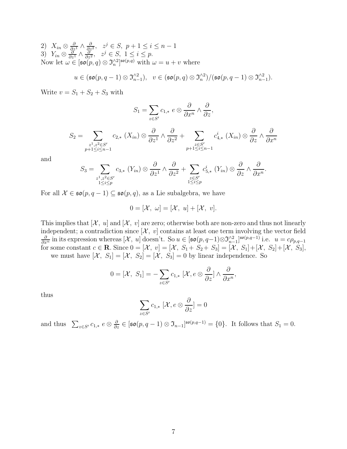2)  $X_{in} \otimes \frac{\partial}{\partial z^1} \wedge \frac{\partial}{\partial z^2}$ ,  $z^j \in S$ ,  $p+1 \leq i \leq n-1$ 3)  $Y_{in} \otimes \frac{\partial}{\partial z^1} \wedge \frac{\partial}{\partial z^2}$ ,  $z^j \in S$ ,  $1 \leq i \leq p$ . Now let  $\omega \in [\mathfrak{so}(p,q) \otimes \mathfrak{I}_n^{\wedge 2}]^{\mathfrak{so}(p,q)}$  with  $\omega = u + v$  where

$$
u\in (\mathfrak{so}(p,q-1)\otimes \mathfrak{I}_{n-1}^{\wedge 2}),\quad v\in (\mathfrak{so}(p,q)\otimes \mathfrak{I}_{n}^{\wedge 2})/(\mathfrak{so}(p,q-1)\otimes \mathfrak{I}_{n-1}^{\wedge 2}).
$$

Write  $v = S_1 + S_2 + S_3$  with

$$
S_1 = \sum_{z \in S'} c_{1,*} e \otimes \frac{\partial}{\partial x^n} \wedge \frac{\partial}{\partial z},
$$
  

$$
S_2 = \sum_{\substack{z^1, z^2 \in S' \\ p+1 \le i \le n-1}} c_{2,*} (X_{in}) \otimes \frac{\partial}{\partial z^1} \wedge \frac{\partial}{\partial z^2} + \sum_{\substack{z \in S' \\ p+1 \le i \le n-1}} c_{4,*}^i (X_{in}) \otimes \frac{\partial}{\partial z} \wedge \frac{\partial}{\partial x^n}
$$

and

$$
S_3 = \sum_{\substack{z^1, z^2 \in S'\\1 \leq i \leq p}} c_{3,*} (Y_{in}) \otimes \frac{\partial}{\partial z^1} \wedge \frac{\partial}{\partial z^2} + \sum_{\substack{z \in S'\\1 \leq i \leq p}} c_{5,*}^i (Y_{in}) \otimes \frac{\partial}{\partial z} \wedge \frac{\partial}{\partial x^n}.
$$

For all  $\mathcal{X} \in \mathfrak{so}(p, q-1) \subseteq \mathfrak{so}(p, q)$ , as a Lie subalgebra, we have

$$
0 = [\mathcal{X}, \ \omega] = [\mathcal{X}, \ u] + [\mathcal{X}, \ v].
$$

This implies that  $[\mathcal{X}, u]$  and  $[\mathcal{X}, v]$  are zero; otherwise both are non-zero and thus not linearly independent; a contradiction since  $[\mathcal{X}, v]$  contains at least one term involving the vector field  $\frac{\partial}{\partial x^n}$  in its expression whereas  $[\mathcal{X}, u]$  doesn't. So  $u \in [\mathfrak{so}(p, q-1) \otimes \mathfrak{I}_{n-1}^{\wedge 2}]^{\mathfrak{so}(p, q-1)}$  i.e.  $u = c \rho_{p,q-1}$ for some constant  $c \in \mathbb{R}$ . Since  $0 = [\mathcal{X}, v] = [\mathcal{X}, S_1 + S_2 + S_3] = [\mathcal{X}, S_1] + [\mathcal{X}, S_2] + [\mathcal{X}, S_3]$ , we must have  $[\mathcal{X}, S_1] = [\mathcal{X}, S_2] = [\mathcal{X}, S_3] = 0$  by linear independence. So

$$
0=[\mathcal{X}, S_1]=-\sum_{z\in S'}c_{1,*}[\mathcal{X}, e\otimes \frac{\partial}{\partial z}]\wedge \frac{\partial}{\partial x^n},
$$

thus

$$
\sum_{z \in S'} c_{1,*} [\mathcal{X}, e \otimes \frac{\partial}{\partial z}] = 0
$$

and thus  $\sum_{z \in S'} c_{1,*} e \otimes \frac{\partial}{\partial z} \in [\mathfrak{so}(p, q-1) \otimes \mathfrak{I}_{n-1}]^{\mathfrak{so}(p, q-1)} = \{0\}.$  It follows that  $S_1 = 0$ .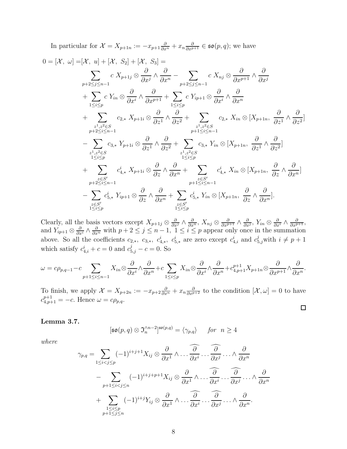In particular for  $\mathcal{X} = X_{p+1n} := -x_{p+1}\frac{\partial}{\partial x^p} + x_n \frac{\partial}{\partial x^{p+1}} \in \mathfrak{so}(p,q)$ ; we have  $0 = [\mathcal{X}, \ \omega] = [\mathcal{X}, \ u] + [\mathcal{X}, \ S_2] + [\mathcal{X}, \ S_3] =$  $\sum$  $p+2 \leq j \leq n-1$  $c\ X_{p+1j}\otimes$ ∂  $\frac{\partial}{\partial x^j} \wedge$  $\partial$  $\frac{\partial}{\partial x^n} - \sum_{n+2 \leq i \leq n}$  $p+2 \leq j \leq n-1$  $c \; X_{nj} \otimes$ ∂  $\frac{\delta}{\partial x^{p+1}} \wedge$  $\partial$  $\partial x^j$  $+$   $\sum$  $1\leq i \leq p$  $c\; Y_{in} \otimes$ ∂  $\frac{\delta}{\partial x^i} \wedge$ ∂  $\frac{\partial}{\partial x^{p+1}} + \sum_{1 \leq i \leq n}$  $1\leq i \leq p$  $c\;Y_{ip+1}\otimes$  $\partial$  $\frac{\delta}{\partial x^i} \wedge$ ∂  $\partial x^n$  $+\sum$  $z^1, z^2 \in S$ p+2≤i≤n−1  $c_{2,*}\ X_{p+1i}\otimes$ ∂  $\frac{\delta}{\partial z^1} \wedge$  $\partial$  $\frac{\partial}{\partial z^2} + \sum_{\substack{1 \leq x \leq 3}}$  $z^1, z^2 \in S$  $p+1\leq i\leq n-1$  $c_{2,*} X_{in} \otimes [X_{p+1:n},$ ∂  $\frac{\delta}{\partial z^1} \wedge$  $\partial$  $\frac{1}{\partial z^2}]$ − X  $z^1, z^2 \in S$  $1\leq i \leq p$  $c_{3,*}\ Y_{p+1i}\otimes$  $\partial$  $\frac{\delta}{\partial z^1} \wedge$ ∂  $rac{\partial}{\partial z^2} + \sum_{\substack{1,2,3}}$  $z^1, z^2 \in S$  $1\leq i \leq p$  $c_{3,*} Y_{in} \otimes [X_{p+1:n},$ ∂  $\frac{\delta}{\partial z^1} \wedge$  $\partial$  $\frac{6}{\partial z^2}]$  $+\sum$ z∈S ′  $p+2\leq i\leq n-1$  $c_{4,\ast}^i$   $X_{p+1i}\otimes$  $\partial$  $rac{\delta}{\partial z}$  ∧  $\partial$  $\frac{\partial}{\partial x^n} + \sum_{x \in S_n}$ z∈S ′  $p+1\leq i\leq n-1$  $c_{4,*}^i X_{in} \otimes [X_{p+1:n},$  $\partial$  $rac{\delta}{\partial z}$  ∧  $\partial$  $\frac{\delta}{\partial x^n}]$ − X z∈S ′  $1\leq i \leq p$  $c_{5,*}^i Y_{ip+1} \otimes$ ∂  $rac{\delta}{\partial z}$  ∧  $\partial$  $\frac{\partial}{\partial x^n} + \sum_{x \in S_n^d}$ z∈S ′  $1\leq i \leq p$  $c_{5,*}^i Y_{in} \otimes [X_{p+1n},$  $\partial$  $rac{\delta}{\partial z}$  ∧ ∂  $\frac{\delta}{\partial x^n}$ .

Clearly, all the basis vectors except  $X_{p+1j} \otimes \frac{\partial}{\partial x^j} \wedge \frac{\partial}{\partial x^n}$ ,  $X_{nj} \otimes \frac{\partial}{\partial x^{p+1}} \wedge \frac{\partial}{\partial x^n}$  $\frac{\partial}{\partial x^j}, Y_{in} \otimes \frac{\partial}{\partial x^i} \wedge \frac{\partial}{\partial x^{p+1}},$ and  $Y_{ip+1}\otimes \frac{\partial}{\partial x^i}\wedge \frac{\partial}{\partial x^n}$  with  $p+2\leq j\leq n-1$ ,  $1\leq i\leq p$  appear only once in the summation above. So all the coefficients  $c_{2,*}, c_{3,*}, c_{4,*}^i, c_{5,*}^i$  are zero except  $c_{4,i}^i$  and  $c_{5,j}^j$  with  $i \neq p+1$ which satisfy  $c_{4,i}^i + c = 0$  and  $c_{5,j}^j - c = 0$ . So

$$
\omega = c\rho_{p,q-1} - c \sum_{p+1 \leq i \leq n-1} X_{in} \otimes \frac{\partial}{\partial x^i} \wedge \frac{\partial}{\partial x^n} + c \sum_{1 \leq i \leq p} X_{in} \otimes \frac{\partial}{\partial x^i} \wedge \frac{\partial}{\partial x^n} + c_{4,p+1}^{p+1} X_{p+1} \otimes \frac{\partial}{\partial x^{p+1}} \wedge \frac{\partial}{\partial x^n}.
$$

To finish, we apply  $\mathcal{X} = X_{p+2n} := -x_{p+2} \frac{\partial}{\partial x^p} + x_n \frac{\partial}{\partial x^{p+2}}$  to the condition  $[\mathcal{X}, \omega] = 0$  to have  $c_{4,p+1}^{p+1} = -c$ . Hence  $\omega = c \rho_{p,q}$ .  $\Box$ 

#### Lemma 3.7.

$$
[\mathfrak{so}(p,q)\otimes \mathfrak{I}_{n}^{\wedge n-2}]^{\mathfrak{so}(p,q)}=\langle \gamma_{p,q}\rangle \quad \text{for} \ \ n\geq 4
$$

where

$$
\gamma_{p,q} = \sum_{1 \leq i < j \leq p} (-1)^{i+j+1} X_{ij} \otimes \frac{\partial}{\partial x^1} \wedge \dots \frac{\partial}{\partial x^i} \dots \frac{\partial}{\partial x^j} \dots \wedge \frac{\partial}{\partial x^n}
$$
\n
$$
- \sum_{p+1 \leq i < j \leq n} (-1)^{i+j+p+1} X_{ij} \otimes \frac{\partial}{\partial x^1} \wedge \dots \widehat{\frac{\partial}{\partial x^i}} \dots \widehat{\frac{\partial}{\partial x^j}} \dots \wedge \frac{\partial}{\partial x^n}
$$
\n
$$
+ \sum_{\substack{1 \leq i \leq p \\ p+1 \leq j \leq n}} (-1)^{i+j} Y_{ij} \otimes \frac{\partial}{\partial x^1} \wedge \dots \widehat{\frac{\partial}{\partial x^i}} \dots \widehat{\frac{\partial}{\partial x^j}} \dots \wedge \frac{\partial}{\partial x^n}.
$$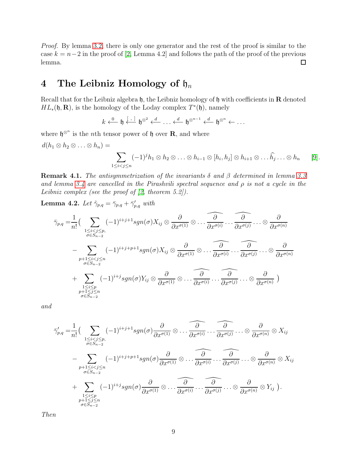Proof. By lemma [3.2,](#page-4-0) there is only one generator and the rest of the proof is similar to the case  $k = n-2$  in the proof of [\[2,](#page-10-1) Lemma 4.2] and follows the path of the proof of the previous  $\Box$ lemma.

## 4 The Leibniz Homology of  $\mathfrak{h}_n$

Recall that for the Leibniz algebra  $\mathfrak h$ , the Leibniz homology of  $\mathfrak h$  with coefficients in  $\mathbf R$  denoted  $HL_*(\mathfrak{h}, \mathbf{R})$ , is the homology of the Loday complex  $T^*(\mathfrak{h})$ , namely

$$
k \stackrel{0}{\longleftarrow} \mathfrak{h} \stackrel{\{\,,\,\}}{\longleftarrow} \mathfrak{h}^{\otimes^2} \stackrel{d}{\longleftarrow} \dots \stackrel{d}{\longleftarrow} \mathfrak{h}^{\otimes^{n-1}} \stackrel{d}{\longleftarrow} \mathfrak{h}^{\otimes^n} \longleftarrow \dots
$$

where  $\mathfrak{h}^{\otimes^n}$  is the *n*th tensor power of  $\mathfrak{h}$  over **R**, and where

$$
d(h_1 \otimes h_2 \otimes \ldots \otimes h_n) = \sum_{1 \leq i < j \leq n} (-1)^j h_1 \otimes h_2 \otimes \ldots \otimes h_{i-1} \otimes [h_i, h_j] \otimes h_{i+1} \otimes \ldots \widehat{h_j}.
$$

**Remark 4.1.** The antisymmetrization of the invariants  $\delta$  and  $\beta$  determined in lemma [3.3](#page-4-1) and lemma [3.4](#page-4-2) are cancelled in the Pirashvili spectral sequence and  $\rho$  is not a cycle in the Leibniz complex (see the proof of  $(2,$  theorem 5.2]).

 $\ldots \otimes h_n$  [\[9\]](#page-11-13).

<span id="page-8-0"></span>**Lemma 4.2.** Let  $\tilde{\gamma}_{p,q} = \bar{\gamma}_{p,q} + \bar{\gamma}'_{p,q}$  with

$$
\bar{\gamma}_{p,q} = \frac{1}{n!} \Big( \sum_{\substack{1 \leq i < j \leq p, \\ \sigma \in S_{n-2}}} (-1)^{i+j+1} sgn(\sigma) X_{ij} \otimes \frac{\partial}{\partial x^{\sigma(1)}} \otimes \dots \widehat{\frac{\partial}{\partial x^{\sigma(i)}}} \dots \widehat{\frac{\partial}{\partial x^{\sigma(j)}}} \dots \otimes \frac{\partial}{\partial x^{\sigma(n)}}
$$
\n
$$
- \sum_{\substack{p+1 \leq i < j \leq n \\ \sigma \in S_{n-2}}} (-1)^{i+j+p+1} sgn(\sigma) X_{ij} \otimes \frac{\partial}{\partial x^{\sigma(1)}} \otimes \dots \widehat{\frac{\partial}{\partial x^{\sigma(i)}}} \dots \widehat{\frac{\partial}{\partial x^{\sigma(j)}}} \dots \otimes \frac{\partial}{\partial x^{\sigma(n)}}
$$
\n
$$
+ \sum_{\substack{1 \leq i \leq p \\ p+1 \leq j \leq n \\ \sigma \in S_{n-2}}} (-1)^{i+j} sgn(\sigma) Y_{ij} \otimes \frac{\partial}{\partial x^{\sigma(1)}} \otimes \dots \widehat{\frac{\partial}{\partial x^{\sigma(i)}}} \dots \otimes \frac{\partial}{\partial x^{\sigma(n)}}
$$

and

$$
\bar{\gamma}'_{p,q} = \frac{1}{n!} \Big( \sum_{\substack{1 \leq i < j \leq p, \\ \sigma \in S_{n-2}}} (-1)^{i+j+1} sgn(\sigma) \frac{\partial}{\partial x^{\sigma(1)}} \otimes \dots \widehat{\frac{\partial}{\partial x^{\sigma(j)}}} \dots \widehat{\frac{\partial}{\partial x^{\sigma(j)}}} \dots \otimes \frac{\partial}{\partial x^{\sigma(n)}} \otimes X_{ij}
$$
\n
$$
- \sum_{\substack{p+1 \leq i < j \leq n \\ \sigma \in S_{n-2}}} (-1)^{i+j+p+1} sgn(\sigma) \frac{\partial}{\partial x^{\sigma(1)}} \otimes \dots \widehat{\frac{\partial}{\partial x^{\sigma(i)}}} \dots \widehat{\frac{\partial}{\partial x^{\sigma(j)}}} \dots \otimes \frac{\partial}{\partial x^{\sigma(n)}} \otimes X_{ij}
$$
\n
$$
+ \sum_{\substack{1 \leq i \leq p \\ p+1 \leq j \leq n \\ \sigma \in S_{n-2}}} (-1)^{i+j} sgn(\sigma) \frac{\partial}{\partial x^{\sigma(1)}} \otimes \dots \widehat{\frac{\partial}{\partial x^{\sigma(i)}}} \dots \widehat{\frac{\partial}{\partial x^{\sigma(j)}}} \dots \otimes \frac{\partial}{\partial x^{\sigma(n)}} \otimes Y_{ij} \Big).
$$

Then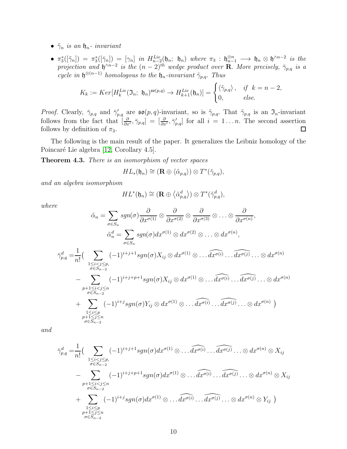•  $\tilde{\gamma}_n$  is an  $\mathfrak{h}_n$ - invariant

•  $\pi_3^*([\tilde{\gamma}_n]) = \pi_3^*([\bar{\gamma}_n]) = [\gamma_n]$  in  $H_{n-2}^{Lie}(\mathfrak{h}_n; \mathfrak{h}_n)$  where  $\pi_3 : \mathfrak{h}_{n-1}^{\otimes n} \longrightarrow \mathfrak{h}_n \otimes \mathfrak{h}^{\wedge n-2}$  is the projection and  $\mathfrak{h}^{\wedge n-2}$  is the  $(n-2)^{th}$  wedge product over **R**. More precisely,  $\bar{\gamma}_{p,q}$  is a cycle in  $\mathfrak{h}^{\otimes (n-1)}$  homologous to the  $\mathfrak{h}_n$ -invariant  $\tilde{\gamma}_{p,q}$ . Thus

$$
K_k := Ker[H_k^{Lie}(\mathfrak{I}_n; \ \mathfrak{h}_n)^{\mathfrak{so}(p,q)} \to H_{k+1}^{Lie}(\mathfrak{h}_n)] = \begin{cases} \langle \tilde{\gamma}_{p,q} \rangle \,, & \text{if } k = n-2, \\ 0, & \text{else.} \end{cases}
$$

*Proof.* Clearly,  $\bar{\gamma}_{p,q}$  and  $\bar{\gamma}'_{p,q}$  are  $\mathfrak{so}(p,q)$ -invariant, so is  $\tilde{\gamma}_{p,q}$ . That  $\tilde{\gamma}_{p,q}$  is an  $\mathfrak{I}_n$ -invariant follows from the fact that  $\left[\frac{\partial}{\partial x^i}, \bar{\gamma}_{p,q}\right] = \left[\frac{\partial}{\partial x^i}, \bar{\gamma}'_{p,q}\right]$  for all  $i = 1...n$ . The second assertion follows by definition of  $\pi_3$ .  $\Box$ 

The following is the main result of the paper. It generalizes the Leibniz homology of the Poincaré Lie algebra [\[12,](#page-11-0) Corollary 4.5].

Theorem 4.3. There is an isomorphism of vector spaces

$$
HL_*(\mathfrak{h}_n)\cong (\mathbf{R}\oplus \langle\tilde{\alpha}_{p,q}\rangle)\otimes T^*(\tilde{\gamma}_{p,q}),
$$

and an algebra isomorphism

$$
HL^*(\mathfrak{h}_n)\cong (\mathbf{R}\oplus \left\langle \tilde{\alpha}_{p,q}^d\right\rangle)\otimes T^*(\tilde{\gamma}_{p,q}^d),
$$

where

$$
\tilde{\alpha}_n = \sum_{\sigma \in S_n} sgn(\sigma) \frac{\partial}{\partial x^{\sigma(1)}} \otimes \frac{\partial}{\partial x^{\sigma(2)}} \otimes \frac{\partial}{\partial x^{\sigma(3)}} \otimes \dots \otimes \frac{\partial}{\partial x^{\sigma(n)}},
$$
  

$$
\tilde{\alpha}_n^d = \sum_{\sigma \in S_n} sgn(\sigma) dx^{\sigma(1)} \otimes dx^{\sigma(2)} \otimes \dots \otimes dx^{\sigma(n)},
$$
  

$$
\bar{\gamma}_{p,q}^d = \frac{1}{n!} \Big( \sum_{\substack{1 \le i < j \le p, \\ \sigma \in S_{n-2}}} (-1)^{i+j+1} sgn(\sigma) X_{ij} \otimes dx^{\sigma(1)} \otimes \dots \widehat{dx^{\sigma(i)}} \dots \widehat{dx^{\sigma(j)}} \dots \otimes dx^{\sigma(n)}
$$
  

$$
= \sum_{\substack{p+1 \le i < j \le n \\ \sigma \in S_{n-2}}} (-1)^{i+j+p+1} sgn(\sigma) X_{ij} \otimes dx^{\sigma(1)} \otimes \dots \widehat{dx^{\sigma(i)}} \dots \widehat{dx^{\sigma(j)}} \dots \otimes dx^{\sigma(n)}
$$
  

$$
+ \sum_{\substack{1 \le i \le p \\ p+1 \le j \le n \\ \sigma \in S_{n-2}}} (-1)^{i+j} sgn(\sigma) Y_{ij} \otimes dx^{\sigma(1)} \otimes \dots \widehat{dx^{\sigma(i)}} \dots \widehat{dx^{\sigma(j)}} \dots \otimes dx^{\sigma(n)}
$$

and

 $\overline{a}$ 

$$
\bar{N}_{p,q}^{d} = \frac{1}{n!} \Big( \sum_{\substack{1 \leq i < j \leq p, \\ \sigma \in S_{n-2}}} (-1)^{i+j+1} sgn(\sigma) dx^{\sigma(1)} \otimes \ldots \widehat{dx^{\sigma(i)}} \ldots \widehat{dx^{\sigma(j)}} \ldots \otimes dx^{\sigma(n)} \otimes X_{ij}
$$
\n
$$
- \sum_{\substack{p+1 \leq i < j \leq n \\ \sigma \in S_{n-2}}} (-1)^{i+j+p+1} sgn(\sigma) dx^{\sigma(1)} \otimes \ldots \widehat{dx^{\sigma(i)}} \ldots \widehat{dx^{\sigma(j)}} \ldots \otimes dx^{\sigma(n)} \otimes X_{ij}
$$
\n
$$
+ \sum_{\substack{1 \leq i \leq p \\ p+1 \leq j \leq n \\ \sigma \in S_{n-2}}} (-1)^{i+j} sgn(\sigma) dx^{\sigma(1)} \otimes \ldots \widehat{dx^{\sigma(i)}} \ldots \widehat{dx^{\sigma(j)}} \ldots \otimes dx^{\sigma(n)} \otimes Y_{ij} \Big)
$$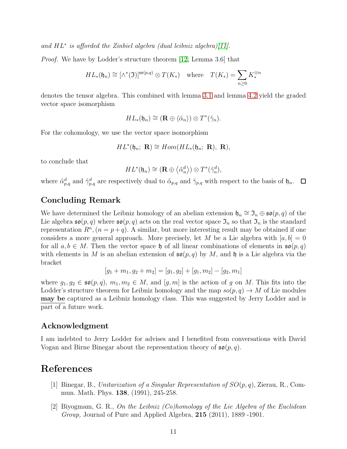and HL<sup>\*</sup> is afforded the Zinbiel algebra (dual leibniz algebra)[\[11\]](#page-11-14).

Proof. We have by Lodder's structure theorem [\[12,](#page-11-0) Lemma 3.6] that

$$
HL_*(\mathfrak{h}_n) \cong [\wedge^*(\mathfrak{I})]^{ \mathfrak{so}(p,q)} \otimes T(K_*) \quad \text{where} \quad T(K_*) = \sum_{n \geq 0} K_*^{\otimes n}
$$

denotes the tensor algebra. This combined with lemma [3.1](#page-3-0) and lemma [4.2](#page-8-0) yield the graded vector space isomorphism

$$
HL_*(\mathfrak{h}_n)\cong (\mathbf{R}\oplus \langle \tilde{\alpha}_n\rangle)\otimes T^*(\tilde{\gamma}_n).
$$

For the cohomology, we use the vector space isomorphism

$$
HL^*(\mathfrak{h}_n; \mathbf{R}) \cong Hom(HL_*(\mathfrak{h}_n; \mathbf{R}), \mathbf{R}),
$$

to conclude that

$$
HL^*(\mathfrak{h}_n) \cong (\mathbf{R} \oplus \left\langle \tilde{\alpha}_n^d \right\rangle) \otimes T^*(\tilde{\gamma}_n^d),
$$

where  $\tilde{\alpha}^d_{p,q}$  and  $\tilde{\gamma}^d_{p,q}$  are respectively dual to  $\tilde{\alpha}_{p,q}$  and  $\tilde{\gamma}_{p,q}$  with respect to the basis of  $\mathfrak{h}_n$ .

#### Concluding Remark

We have determined the Leibniz homology of an abelian extension  $\mathfrak{h}_n \cong \mathfrak{I}_n \oplus \mathfrak{so}(p,q)$  of the Lie algebra  $\mathfrak{so}(p,q)$  where  $\mathfrak{so}(p,q)$  acts on the real vector space  $\mathfrak{I}_n$  so that  $\mathfrak{I}_n$  is the standard representation  $R^n$ ,  $(n = p + q)$ . A similar, but more interesting result may be obtained if one considers a more general approach. More precisely, let M be a Lie algebra with  $[a, b] = 0$ for all  $a, b \in M$ . Then the vector space h of all linear combinations of elements in  $\mathfrak{so}(p,q)$ with elements in M is an abelian extension of  $\mathfrak{so}(p,q)$  by M, and  $\mathfrak h$  is a Lie algebra via the bracket

$$
[g_1 + m_1, g_2 + m_2] = [g_1, g_2] + [g_1, m_2] - [g_2, m_1]
$$

where  $g_1, g_2 \in \mathfrak{so}(p,q), m_1, m_2 \in M$ , and  $[g, m]$  is the action of g on M. This fits into the Lodder's structure theorem for Leibniz homology and the map  $so(p, q) \to M$  of Lie modules may be captured as a Leibniz homology class. This was suggested by Jerry Lodder and is part of a future work.

#### Acknowledgment

I am indebted to Jerry Lodder for advises and I benefited from conversations with David Vogan and Birne Binegar about the representation theory of  $\mathfrak{so}(p,q)$ .

### <span id="page-10-0"></span>References

- [1] Binegar, B., Unitarization of a Singular Representation of  $SO(p,q)$ , Zierau, R., Commun. Math. Phys. 138, (1991), 245-258.
- <span id="page-10-1"></span>[2] Biyogmam, G. R., On the Leibniz  $(Co)$ homology of the Lie Algebra of the Euclidean Group, Journal of Pure and Applied Algebra, 215 (2011), 1889 -1901.